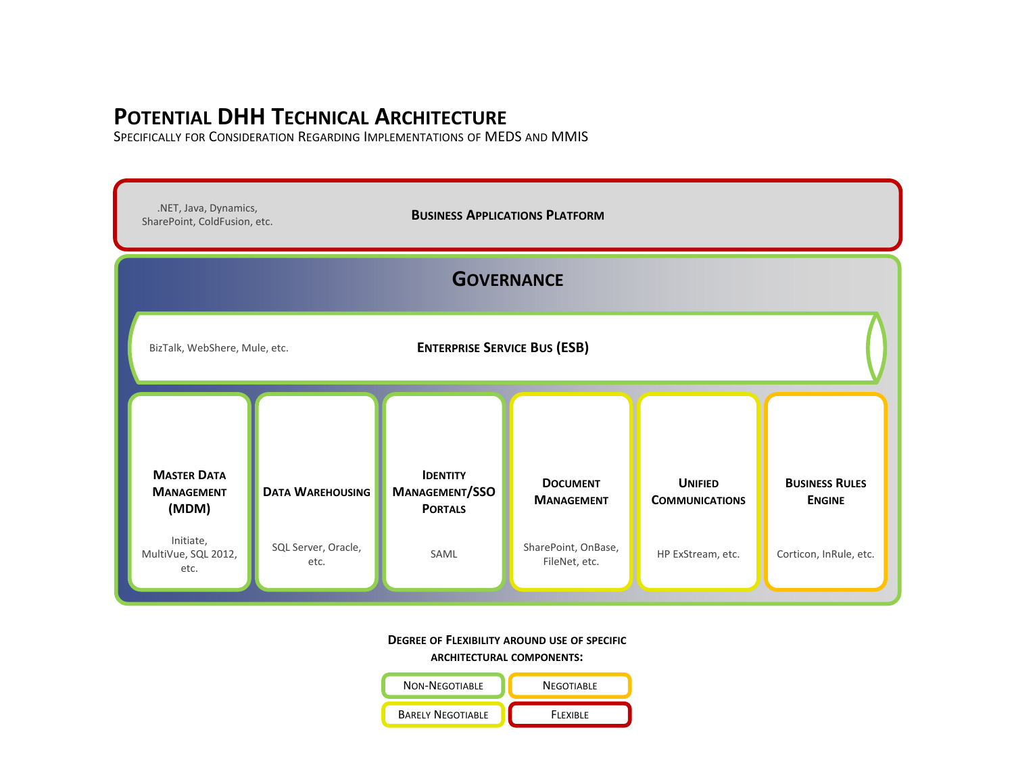## **POTENTIAL DHH TECHNICAL ARCHITECTURE**

SPECIFICALLY FOR CONSIDERATION REGARDING IMPLEMENTATIONS OF MEDS AND MMIS



#### **DEGREE OF FLEXIBILITY AROUND USE OF SPECIFIC**

**ARCHITECTURAL COMPONENTS:**

| <b>NON-NEGOTIABLE</b>    | <b>NEGOTIABLE</b> |
|--------------------------|-------------------|
| <b>BARELY NEGOTIABLE</b> | <b>FIFXIBLE</b>   |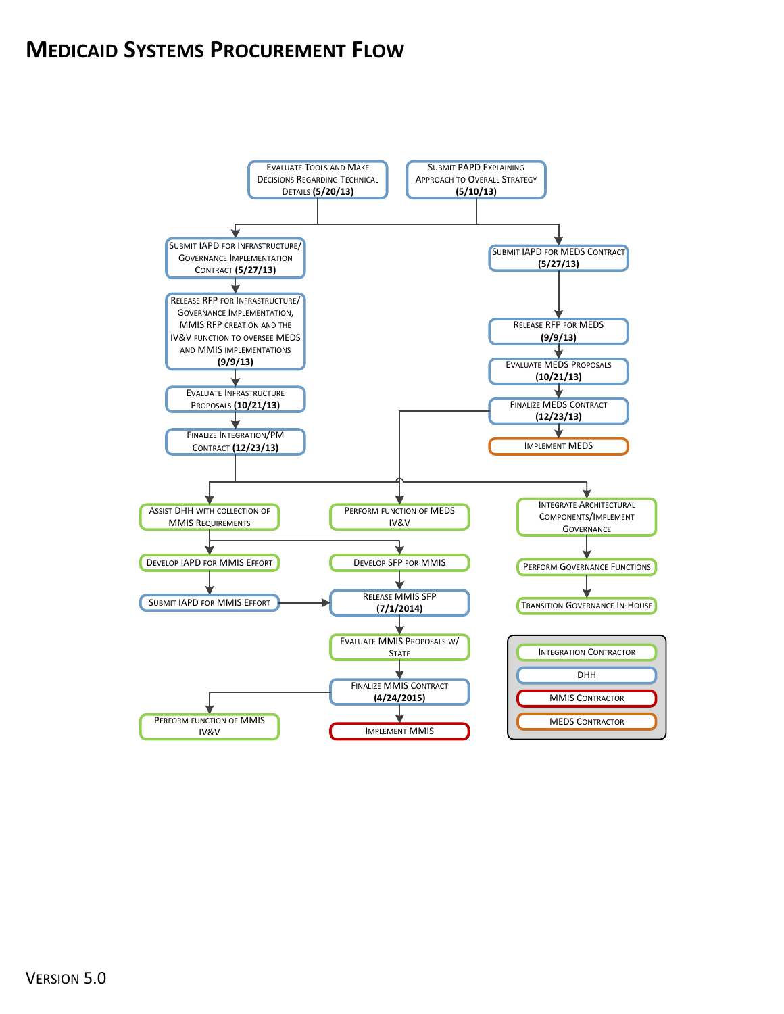## **MEDICAID SYSTEMS PROCUREMENT FLOW**

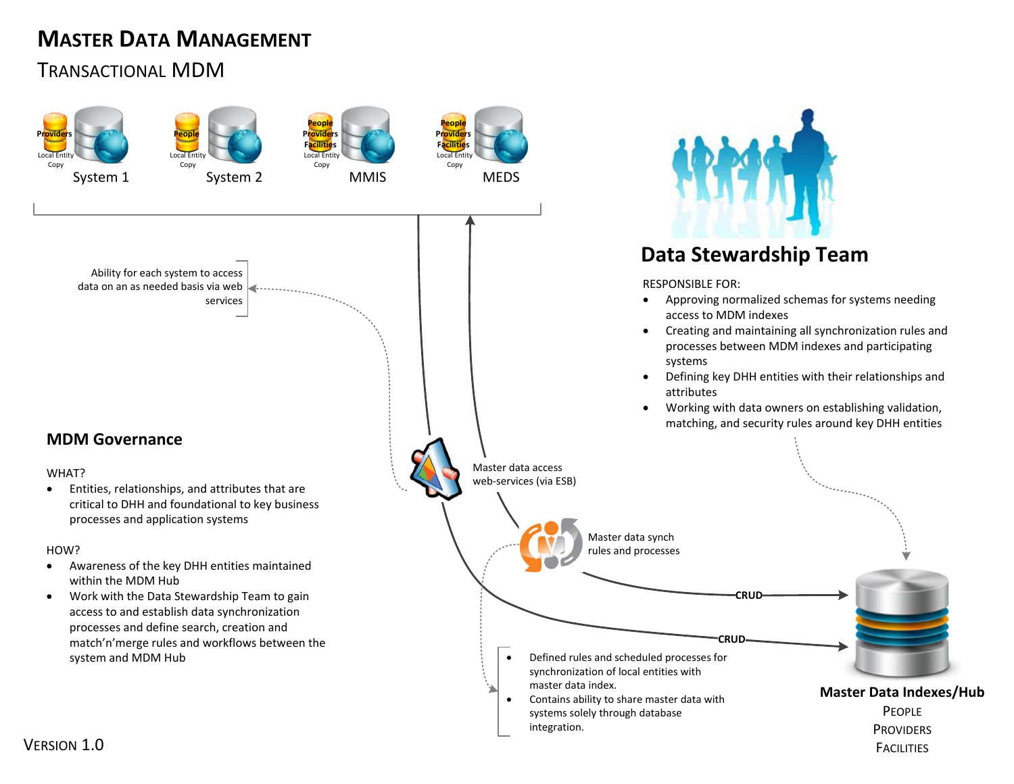# **MASTER DATA MANAGEMENT**

### TRANSACTIONAL MDM

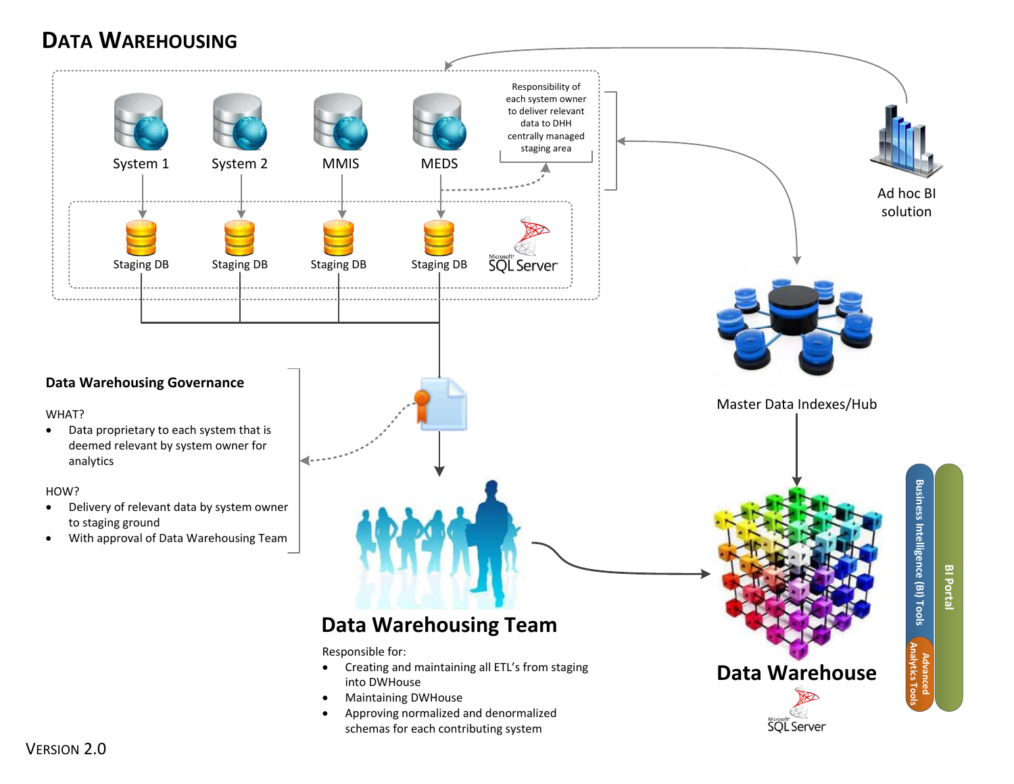# **DATA WAREHOUSING**

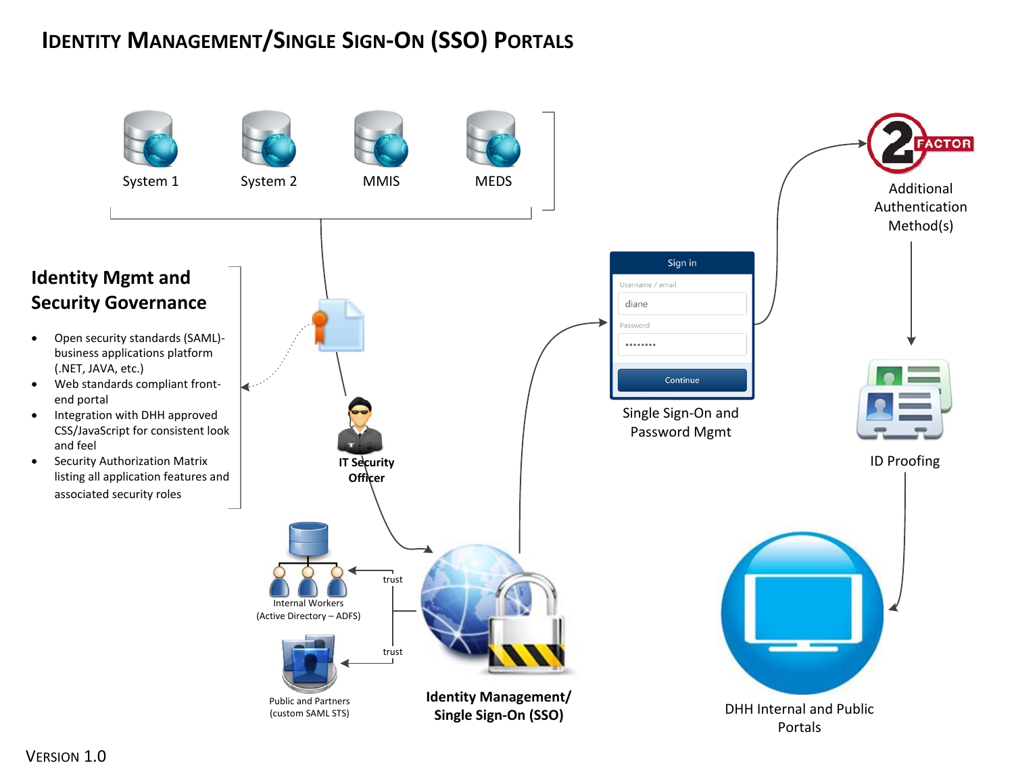# **IDENTITY MANAGEMENT/SINGLE SIGN‐ON (SSO) PORTALS**



 $\bullet$ 

 $\bullet$ 

 $\bullet$ 

 $\bullet$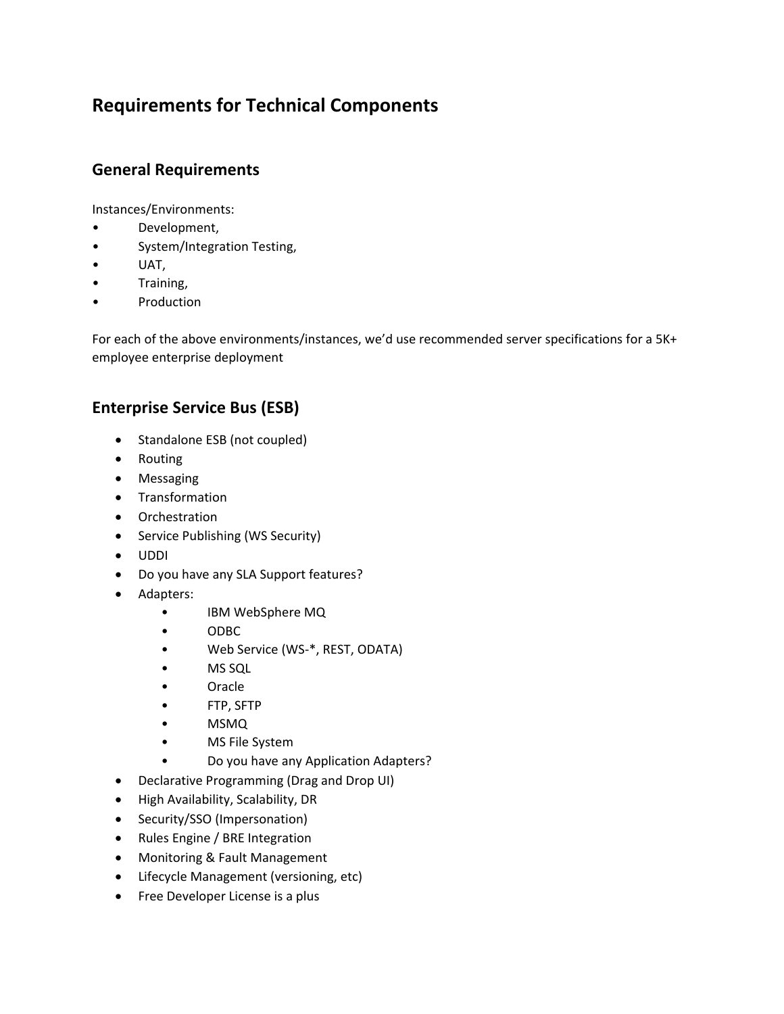### **Requirements for Technical Components**

### **General Requirements**

Instances/Environments:

- Development,
- System/Integration Testing,
- UAT,
- Training,
- Production

For each of the above environments/instances, we'd use recommended server specifications for a 5K+ employee enterprise deployment

### **Enterprise Service Bus (ESB)**

- Standalone ESB (not coupled)
- Routing
- Messaging
- **•** Transformation
- Orchestration
- Service Publishing (WS Security)
- UDDI
- Do you have any SLA Support features?
- Adapters:
	- IBM WebSphere MQ
	- ODBC
	- Web Service (WS-\*, REST, ODATA)
	- MS SQL
	- Oracle
	- FTP, SFTP
	- MSMQ
	- MS File System
		- Do you have any Application Adapters?
- Declarative Programming (Drag and Drop UI)
- High Availability, Scalability, DR
- Security/SSO (Impersonation)
- Rules Engine / BRE Integration
- Monitoring & Fault Management
- Lifecycle Management (versioning, etc)
- Free Developer License is a plus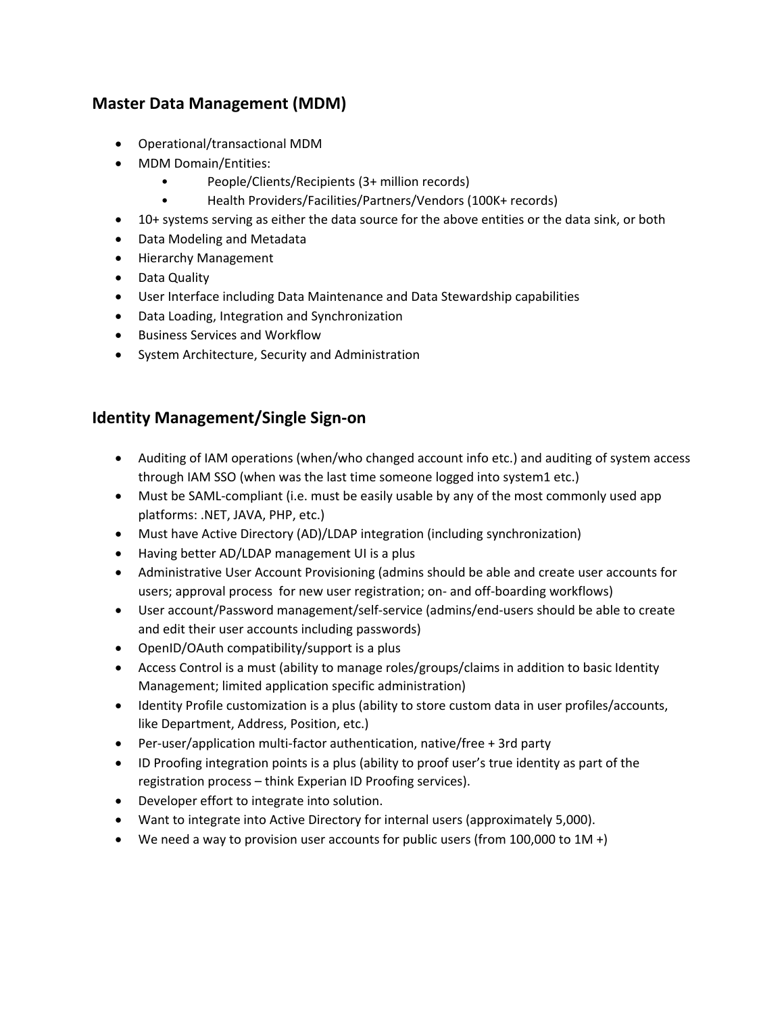### **Master Data Management (MDM)**

- Operational/transactional MDM
- MDM Domain/Entities:
	- People/Clients/Recipients (3+ million records)
	- Health Providers/Facilities/Partners/Vendors (100K+ records)
- 10+ systems serving as either the data source for the above entities or the data sink, or both
- Data Modeling and Metadata
- Hierarchy Management
- Data Quality
- User Interface including Data Maintenance and Data Stewardship capabilities
- Data Loading, Integration and Synchronization
- Business Services and Workflow
- System Architecture, Security and Administration

### **Identity Management/Single Sign‐on**

- Auditing of IAM operations (when/who changed account info etc.) and auditing of system access through IAM SSO (when was the last time someone logged into system1 etc.)
- Must be SAML-compliant (i.e. must be easily usable by any of the most commonly used app platforms: .NET, JAVA, PHP, etc.)
- Must have Active Directory (AD)/LDAP integration (including synchronization)
- Having better AD/LDAP management UI is a plus
- Administrative User Account Provisioning (admins should be able and create user accounts for users; approval process for new user registration; on- and off-boarding workflows)
- User account/Password management/self‐service (admins/end‐users should be able to create and edit their user accounts including passwords)
- OpenID/OAuth compatibility/support is a plus
- Access Control is a must (ability to manage roles/groups/claims in addition to basic Identity Management; limited application specific administration)
- Identity Profile customization is a plus (ability to store custom data in user profiles/accounts, like Department, Address, Position, etc.)
- Per-user/application multi-factor authentication, native/free + 3rd party
- ID Proofing integration points is a plus (ability to proof user's true identity as part of the registration process – think Experian ID Proofing services).
- Developer effort to integrate into solution.
- Want to integrate into Active Directory for internal users (approximately 5,000).
- We need a way to provision user accounts for public users (from 100,000 to 1M +)